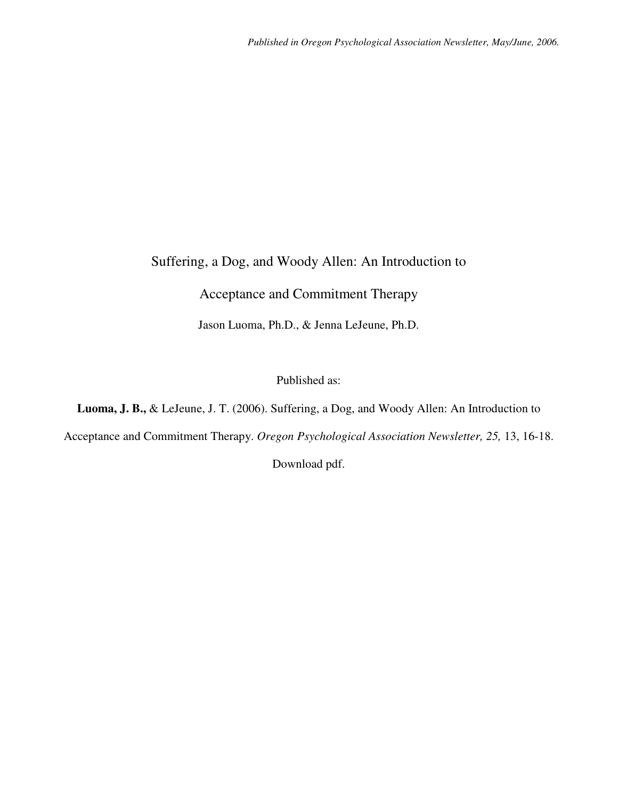# Suffering, a Dog, and Woody Allen: An Introduction to

# Acceptance and Commitment Therapy

Jason Luoma, Ph.D., & Jenna LeJeune, Ph.D.

## Published as:

**Luoma, J. B.,** & LeJeune, J. T. (2006). Suffering, a Dog, and Woody Allen: An Introduction to

Acceptance and Commitment Therapy. *Oregon Psychological Association Newsletter, 25,* 13, 16-18.

Download pdf.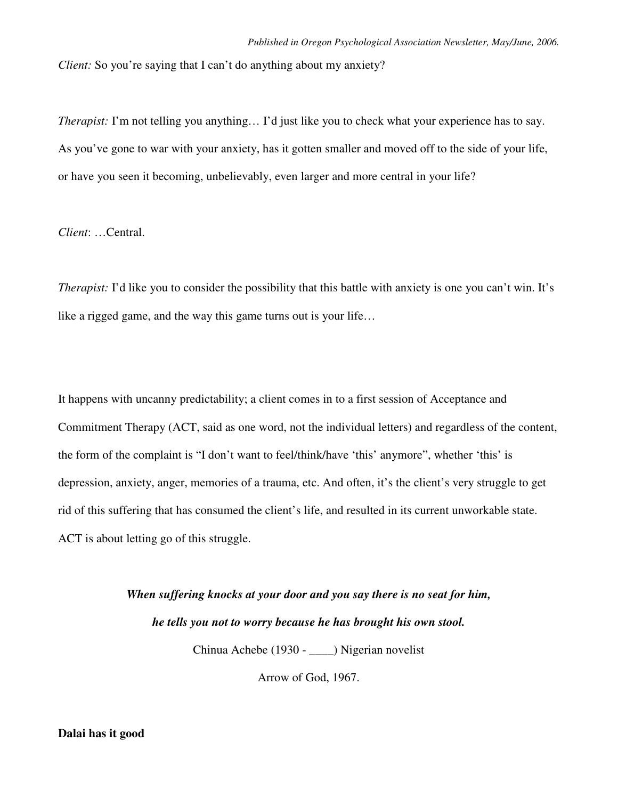*Client:* So you're saying that I can't do anything about my anxiety?

*Therapist:* I'm not telling you anything... I'd just like you to check what your experience has to say. As you've gone to war with your anxiety, has it gotten smaller and moved off to the side of your life, or have you seen it becoming, unbelievably, even larger and more central in your life?

*Client*: …Central.

*Therapist:* I'd like you to consider the possibility that this battle with anxiety is one you can't win. It's like a rigged game, and the way this game turns out is your life…

It happens with uncanny predictability; a client comes in to a first session of Acceptance and Commitment Therapy (ACT, said as one word, not the individual letters) and regardless of the content, the form of the complaint is "I don't want to feel/think/have 'this' anymore", whether 'this' is depression, anxiety, anger, memories of a trauma, etc. And often, it's the client's very struggle to get rid of this suffering that has consumed the client's life, and resulted in its current unworkable state. ACT is about letting go of this struggle.

# *When suffering knocks at your door and you say there is no seat for him, he tells you not to worry because he has brought his own stool.*  Chinua Achebe (1930 - \_\_\_\_) Nigerian novelist

Arrow of God, 1967.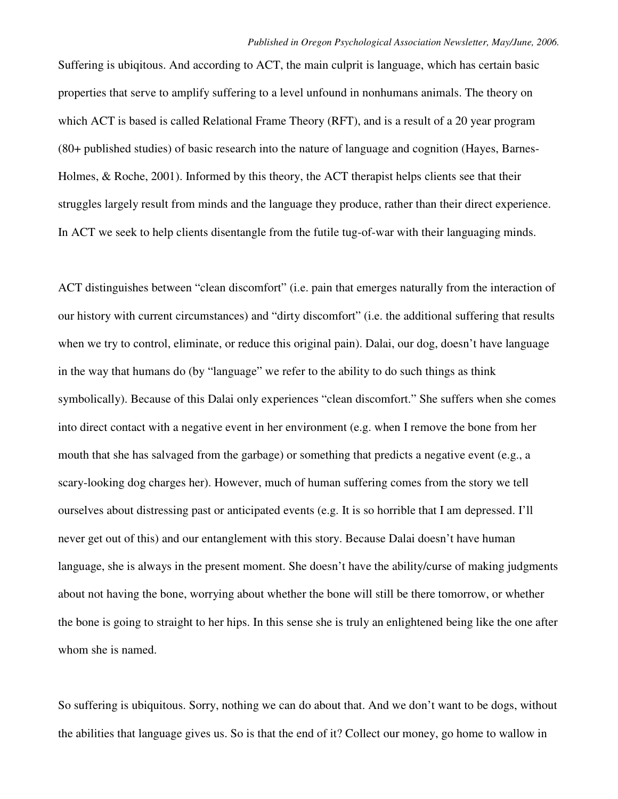Suffering is ubiqitous. And according to ACT, the main culprit is language, which has certain basic properties that serve to amplify suffering to a level unfound in nonhumans animals. The theory on which ACT is based is called Relational Frame Theory (RFT), and is a result of a 20 year program (80+ published studies) of basic research into the nature of language and cognition (Hayes, Barnes-Holmes, & Roche, 2001). Informed by this theory, the ACT therapist helps clients see that their struggles largely result from minds and the language they produce, rather than their direct experience. In ACT we seek to help clients disentangle from the futile tug-of-war with their languaging minds.

ACT distinguishes between "clean discomfort" (i.e. pain that emerges naturally from the interaction of our history with current circumstances) and "dirty discomfort" (i.e. the additional suffering that results when we try to control, eliminate, or reduce this original pain). Dalai, our dog, doesn't have language in the way that humans do (by "language" we refer to the ability to do such things as think symbolically). Because of this Dalai only experiences "clean discomfort." She suffers when she comes into direct contact with a negative event in her environment (e.g. when I remove the bone from her mouth that she has salvaged from the garbage) or something that predicts a negative event (e.g., a scary-looking dog charges her). However, much of human suffering comes from the story we tell ourselves about distressing past or anticipated events (e.g. It is so horrible that I am depressed. I'll never get out of this) and our entanglement with this story. Because Dalai doesn't have human language, she is always in the present moment. She doesn't have the ability/curse of making judgments about not having the bone, worrying about whether the bone will still be there tomorrow, or whether the bone is going to straight to her hips. In this sense she is truly an enlightened being like the one after whom she is named.

So suffering is ubiquitous. Sorry, nothing we can do about that. And we don't want to be dogs, without the abilities that language gives us. So is that the end of it? Collect our money, go home to wallow in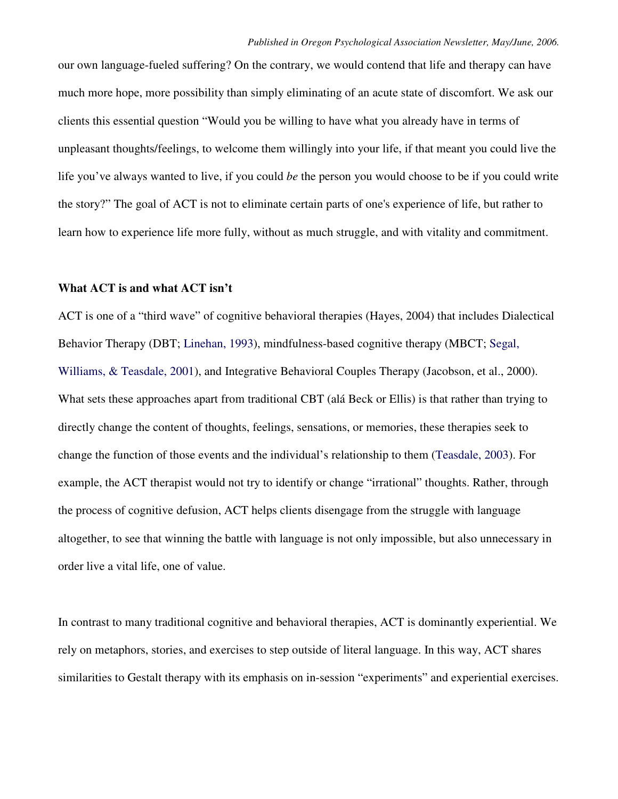our own language-fueled suffering? On the contrary, we would contend that life and therapy can have much more hope, more possibility than simply eliminating of an acute state of discomfort. We ask our clients this essential question "Would you be willing to have what you already have in terms of unpleasant thoughts/feelings, to welcome them willingly into your life, if that meant you could live the life you've always wanted to live, if you could *be* the person you would choose to be if you could write the story?" The goal of ACT is not to eliminate certain parts of one's experience of life, but rather to learn how to experience life more fully, without as much struggle, and with vitality and commitment.

#### **What ACT is and what ACT isn't**

ACT is one of a "third wave" of cognitive behavioral therapies (Hayes, 2004) that includes Dialectical Behavior Therapy (DBT; Linehan, 1993), mindfulness-based cognitive therapy (MBCT; Segal, Williams, & Teasdale, 2001), and Integrative Behavioral Couples Therapy (Jacobson, et al., 2000). What sets these approaches apart from traditional CBT (alá Beck or Ellis) is that rather than trying to directly change the content of thoughts, feelings, sensations, or memories, these therapies seek to change the function of those events and the individual's relationship to them (Teasdale, 2003). For example, the ACT therapist would not try to identify or change "irrational" thoughts. Rather, through the process of cognitive defusion, ACT helps clients disengage from the struggle with language altogether, to see that winning the battle with language is not only impossible, but also unnecessary in order live a vital life, one of value.

In contrast to many traditional cognitive and behavioral therapies, ACT is dominantly experiential. We rely on metaphors, stories, and exercises to step outside of literal language. In this way, ACT shares similarities to Gestalt therapy with its emphasis on in-session "experiments" and experiential exercises.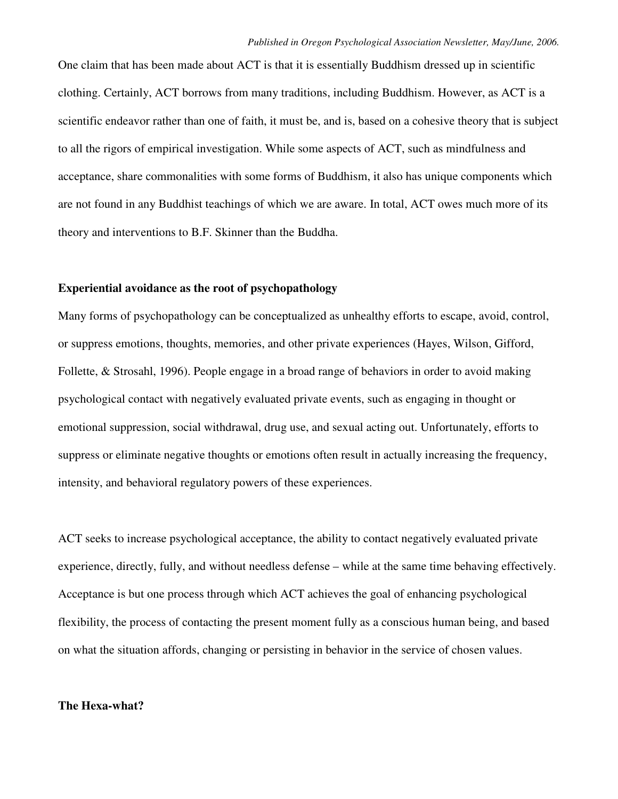One claim that has been made about ACT is that it is essentially Buddhism dressed up in scientific clothing. Certainly, ACT borrows from many traditions, including Buddhism. However, as ACT is a scientific endeavor rather than one of faith, it must be, and is, based on a cohesive theory that is subject to all the rigors of empirical investigation. While some aspects of ACT, such as mindfulness and acceptance, share commonalities with some forms of Buddhism, it also has unique components which are not found in any Buddhist teachings of which we are aware. In total, ACT owes much more of its theory and interventions to B.F. Skinner than the Buddha.

#### **Experiential avoidance as the root of psychopathology**

Many forms of psychopathology can be conceptualized as unhealthy efforts to escape, avoid, control, or suppress emotions, thoughts, memories, and other private experiences (Hayes, Wilson, Gifford, Follette, & Strosahl, 1996). People engage in a broad range of behaviors in order to avoid making psychological contact with negatively evaluated private events, such as engaging in thought or emotional suppression, social withdrawal, drug use, and sexual acting out. Unfortunately, efforts to suppress or eliminate negative thoughts or emotions often result in actually increasing the frequency, intensity, and behavioral regulatory powers of these experiences.

ACT seeks to increase psychological acceptance, the ability to contact negatively evaluated private experience, directly, fully, and without needless defense – while at the same time behaving effectively. Acceptance is but one process through which ACT achieves the goal of enhancing psychological flexibility, the process of contacting the present moment fully as a conscious human being, and based on what the situation affords, changing or persisting in behavior in the service of chosen values.

### **The Hexa-what?**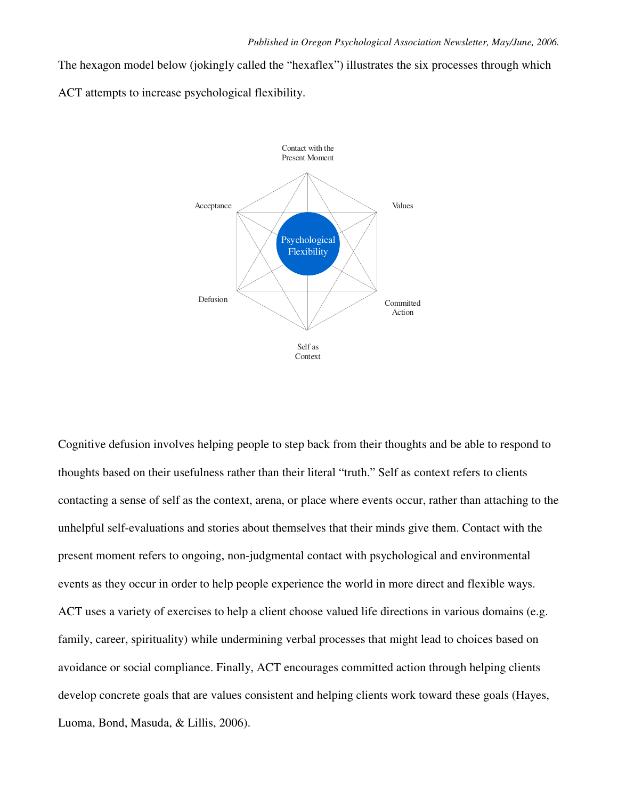The hexagon model below (jokingly called the "hexaflex") illustrates the six processes through which ACT attempts to increase psychological flexibility.



Cognitive defusion involves helping people to step back from their thoughts and be able to respond to thoughts based on their usefulness rather than their literal "truth." Self as context refers to clients contacting a sense of self as the context, arena, or place where events occur, rather than attaching to the unhelpful self-evaluations and stories about themselves that their minds give them. Contact with the present moment refers to ongoing, non-judgmental contact with psychological and environmental events as they occur in order to help people experience the world in more direct and flexible ways. ACT uses a variety of exercises to help a client choose valued life directions in various domains (e.g. family, career, spirituality) while undermining verbal processes that might lead to choices based on avoidance or social compliance. Finally, ACT encourages committed action through helping clients develop concrete goals that are values consistent and helping clients work toward these goals (Hayes, Luoma, Bond, Masuda, & Lillis, 2006).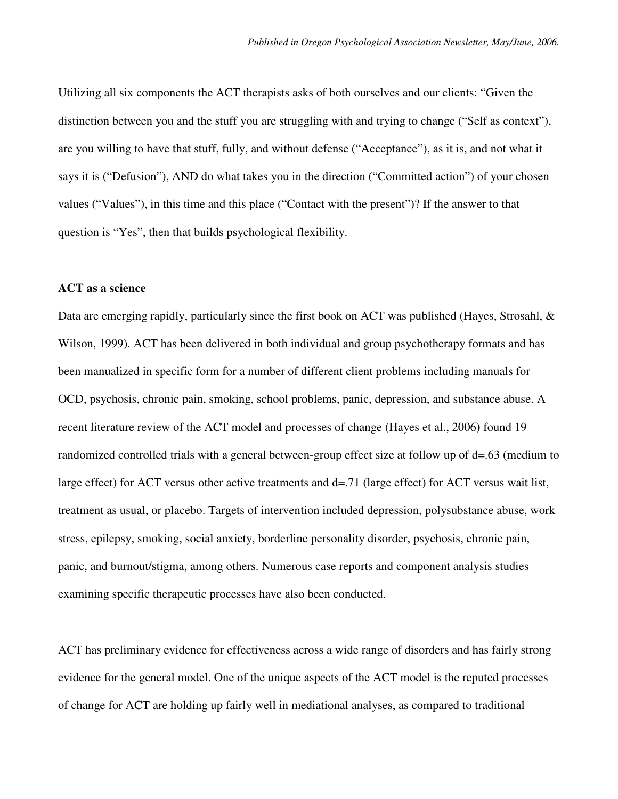Utilizing all six components the ACT therapists asks of both ourselves and our clients: "Given the distinction between you and the stuff you are struggling with and trying to change ("Self as context"), are you willing to have that stuff, fully, and without defense ("Acceptance"), as it is, and not what it says it is ("Defusion"), AND do what takes you in the direction ("Committed action") of your chosen values ("Values"), in this time and this place ("Contact with the present")? If the answer to that question is "Yes", then that builds psychological flexibility.

#### **ACT as a science**

Data are emerging rapidly, particularly since the first book on ACT was published (Hayes, Strosahl, & Wilson, 1999). ACT has been delivered in both individual and group psychotherapy formats and has been manualized in specific form for a number of different client problems including manuals for OCD, psychosis, chronic pain, smoking, school problems, panic, depression, and substance abuse. A recent literature review of the ACT model and processes of change (Hayes et al., 2006**)** found 19 randomized controlled trials with a general between-group effect size at follow up of d=.63 (medium to large effect) for ACT versus other active treatments and d=.71 (large effect) for ACT versus wait list, treatment as usual, or placebo. Targets of intervention included depression, polysubstance abuse, work stress, epilepsy, smoking, social anxiety, borderline personality disorder, psychosis, chronic pain, panic, and burnout/stigma, among others. Numerous case reports and component analysis studies examining specific therapeutic processes have also been conducted.

ACT has preliminary evidence for effectiveness across a wide range of disorders and has fairly strong evidence for the general model. One of the unique aspects of the ACT model is the reputed processes of change for ACT are holding up fairly well in mediational analyses, as compared to traditional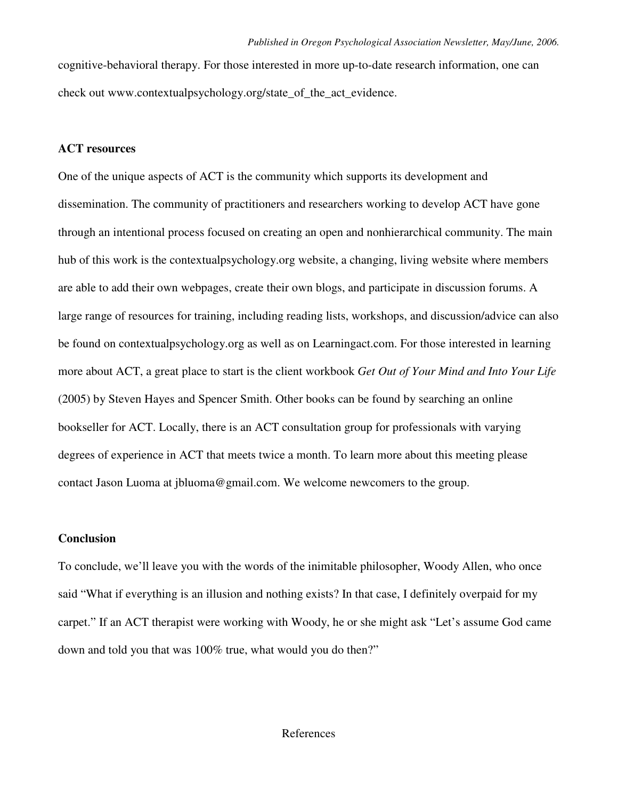cognitive-behavioral therapy. For those interested in more up-to-date research information, one can check out www.contextualpsychology.org/state of the act evidence.

#### **ACT resources**

One of the unique aspects of ACT is the community which supports its development and dissemination. The community of practitioners and researchers working to develop ACT have gone through an intentional process focused on creating an open and nonhierarchical community. The main hub of this work is the contextualpsychology.org website, a changing, living website where members are able to add their own webpages, create their own blogs, and participate in discussion forums. A large range of resources for training, including reading lists, workshops, and discussion/advice can also be found on contextualpsychology.org as well as on Learningact.com. For those interested in learning more about ACT, a great place to start is the client workbook *Get Out of Your Mind and Into Your Life* (2005) by Steven Hayes and Spencer Smith. Other books can be found by searching an online bookseller for ACT. Locally, there is an ACT consultation group for professionals with varying degrees of experience in ACT that meets twice a month. To learn more about this meeting please contact Jason Luoma at jbluoma@gmail.com. We welcome newcomers to the group.

## **Conclusion**

To conclude, we'll leave you with the words of the inimitable philosopher, Woody Allen, who once said "What if everything is an illusion and nothing exists? In that case, I definitely overpaid for my carpet." If an ACT therapist were working with Woody, he or she might ask "Let's assume God came down and told you that was 100% true, what would you do then?"